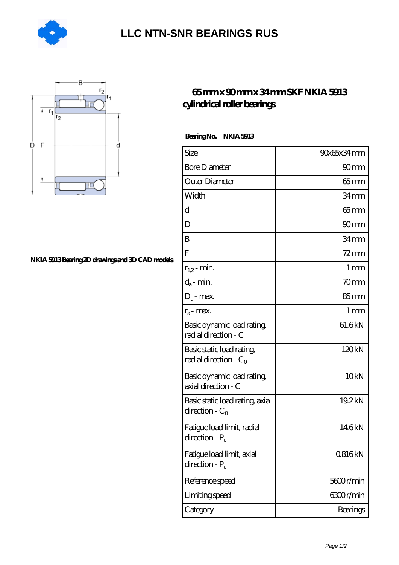

## **[LLC NTN-SNR BEARINGS RUS](https://agencel2om.com)**



## **[NKIA 5913 Bearing 2D drawings and 3D CAD models](https://agencel2om.com/pic-566788.html)**

## **[65 mm x 90 mm x 34 mm SKF NKIA 5913](https://agencel2om.com/skf-nkia-5913-bearing/) [cylindrical roller bearings](https://agencel2om.com/skf-nkia-5913-bearing/)**

 **Bearing No. NKIA 5913**

| Size                                                  | 90x65x34mm        |
|-------------------------------------------------------|-------------------|
| <b>Bore Diameter</b>                                  | 90 <sub>mm</sub>  |
| Outer Diameter                                        | $65 \text{mm}$    |
| Width                                                 | 34 <sub>mm</sub>  |
| d                                                     | $65$ mm           |
| D                                                     | 90 <sub>mm</sub>  |
| B                                                     | 34 mm             |
| $\overline{F}$                                        | $72$ mm           |
| $r_{1,2}$ - min.                                      | 1 mm              |
| $d_a$ - min.                                          | 70 <sub>mm</sub>  |
| $D_a$ - max.                                          | $85 \text{mm}$    |
| $r_a$ - max.                                          | $1 \,\mathrm{mm}$ |
| Basic dynamic load rating<br>radial direction - C     | 61.6kN            |
| Basic static load rating,<br>radial direction - $C_0$ | 120kN             |
| Basic dynamic load rating,<br>axial direction - C     | 10 <sub>kN</sub>  |
| Basic static load rating, axial<br>direction - $C_0$  | 19.2kN            |
| Fatigue load limit, radial<br>$direction - Pu$        | 146kN             |
| Fatigue load limit, axial<br>direction - $P_{\rm u}$  | 0816kN            |
| Reference speed                                       | 5600r/min         |
| Limiting speed                                        | 6300r/min         |
| Category                                              | Bearings          |